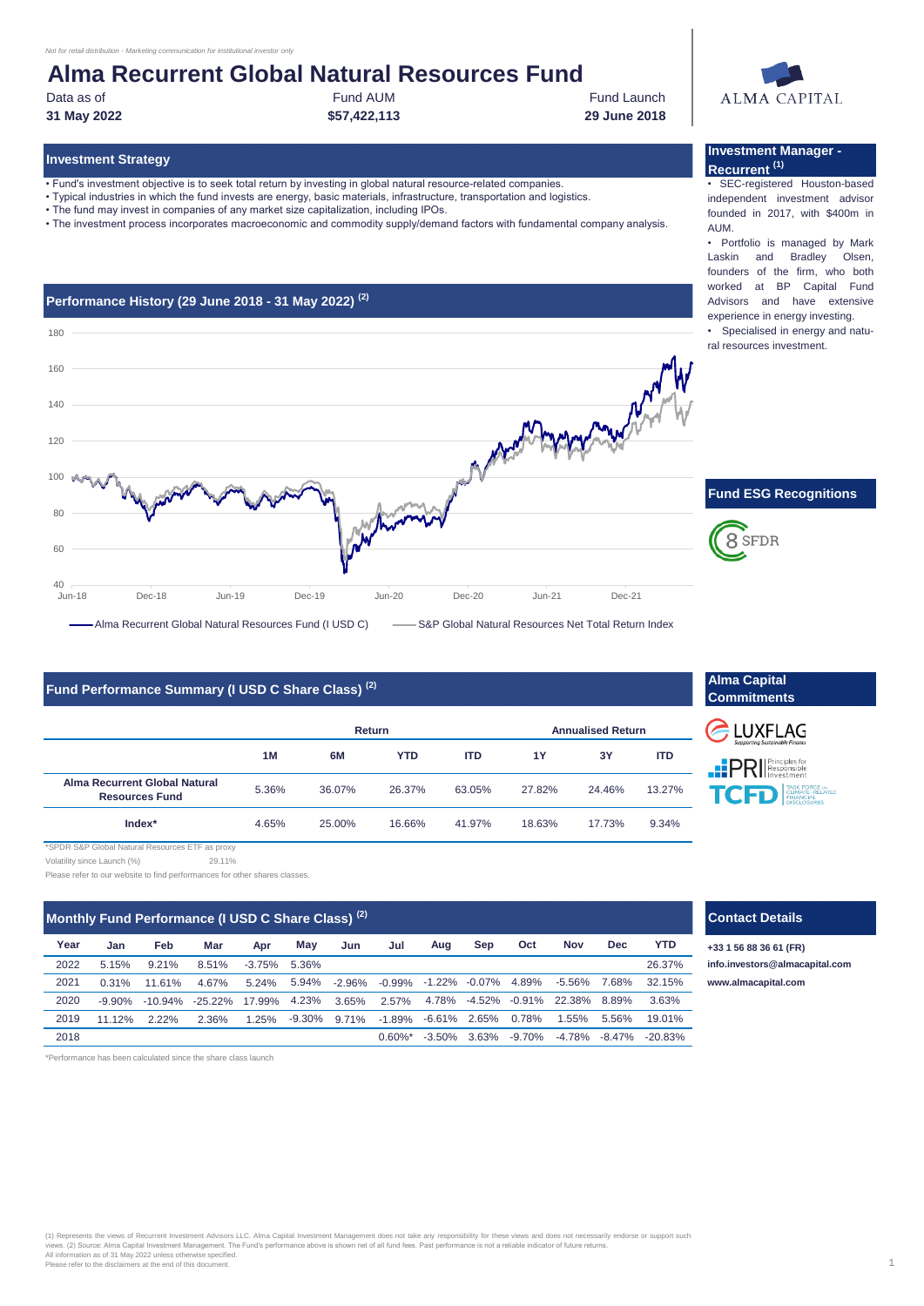#### *Not for retail distribution - Marketing communication for institutional investor only*

# **Alma Recurrent Global Natural Resources Fund**

• Fund's investment objective is to seek total return by investing in global natural resource-related companies. • Typical industries in which the fund invests are energy, basic materials, infrastructure, transportation and logistics.

• The fund may invest in companies of any market size capitalization, including IPOs.

**31 May 2022 \$57,422,113 29 June 2018**

**Investment Strategy**

Data as of **Fund AUM** Fund AUM **Fund AUM** Fund AUM **Fund Launch** 

• The investment process incorporates macroeconomic and commodity supply/demand factors with fundamental company analysis.



#### **Investment Manager - Recurrent (1)**

• SEC-registered Houston-based independent investment advisor founded in 2017, with \$400m in AUM.

• Portfolio is managed by Mark Laskin and Bradley Olsen, founders of the firm, who both worked at BP Capital Fund Advisors and have extensive experience in energy investing.

• Specialised in energy and natural resources investment.



## **Fund Performance Summary (I USD C Share Class) (2)**

|                                                        | <b>Return</b> |        |            |            | <b>Annualised Return</b> |        |            |  |
|--------------------------------------------------------|---------------|--------|------------|------------|--------------------------|--------|------------|--|
|                                                        | 1M            | 6M     | <b>YTD</b> | <b>ITD</b> | 1Y                       | 3Υ     | <b>ITD</b> |  |
| Alma Recurrent Global Natural<br><b>Resources Fund</b> | 5.36%         | 36.07% | 26.37%     | 63.05%     | 27.82%                   | 24.46% | 13.27%     |  |
| $Index*$                                               | 4.65%         | 25.00% | 16.66%     | 41.97%     | 18.63%                   | 17.73% | 9.34%      |  |

29.11% \*SPDR S&P Global Natural Resources ETF as proxy Volatility since Launch (%)

Please refer to our website to find performances for other shares classes.

| Monthly Fund Performance (I USD C Share Class) <sup>(2)</sup> |  |
|---------------------------------------------------------------|--|
|---------------------------------------------------------------|--|

| Year | Jan       | Feb    | Mar                                | Apr             | May | Jun | Jul                                           | Aua | Sep | Oct | <b>Nov</b>                       | <b>Dec</b> | <b>YTD</b>                                               |
|------|-----------|--------|------------------------------------|-----------------|-----|-----|-----------------------------------------------|-----|-----|-----|----------------------------------|------------|----------------------------------------------------------|
| 2022 | 5.15%     | 9.21%  | 8.51%                              | $-3.75\%$ 5.36% |     |     |                                               |     |     |     |                                  |            | 26.37%                                                   |
| 2021 | $0.31\%$  | 11.61% | 4.67%                              |                 |     |     | 5.24% 5.94% -2.96% -0.99% -1.22% -0.07% 4.89% |     |     |     | -5.56% 7.68%                     |            | 32.15%                                                   |
| 2020 | $-9.90\%$ |        | -10.94% -25.22% 17.99% 4.23% 3.65% |                 |     |     | $2.57\%$                                      |     |     |     | 4.78% -4.52% -0.91% 22.38% 8.89% |            | 3.63%                                                    |
| 2019 | 11 12%    | 222%   | 2.36%                              | 1.25%           |     |     | -9.30% 9.71% -1.89% -6.61% 2.65% 0.78%        |     |     |     | 1.55%                            | 5.56%      | 19.01%                                                   |
| 2018 |           |        |                                    |                 |     |     | $0.60\%$ *                                    |     |     |     |                                  |            | $-3.50\%$ 3.63% $-9.70\%$ $-4.78\%$ $-8.47\%$ $-20.83\%$ |

#### \*Performance has been calculated since the share class launch

## (1) Represents the views of Recurrent Investment Advisors LLC. Alma Capital Investment Management does not take any responsibility for these views and does not necessarily endorse or support such<br>views. (2) Source: Alma Ca All information as of 31 May 2022 unless otherwise specified.

Please refer to the disclaimers at the end of this document.

## **Alma Capital Commitments**

 $\frac{1}{2}$  LUXFLAG **PRI** Principles for **TELEVISION CLIMATE RELATED** 

## **Contact Details**

**+33 1 56 88 36 61 (FR) [info.in](mailto:info.investors@almacapital.com)vestors@almacapital.com [www.](http://www.almacapital.com/)almacapital.com**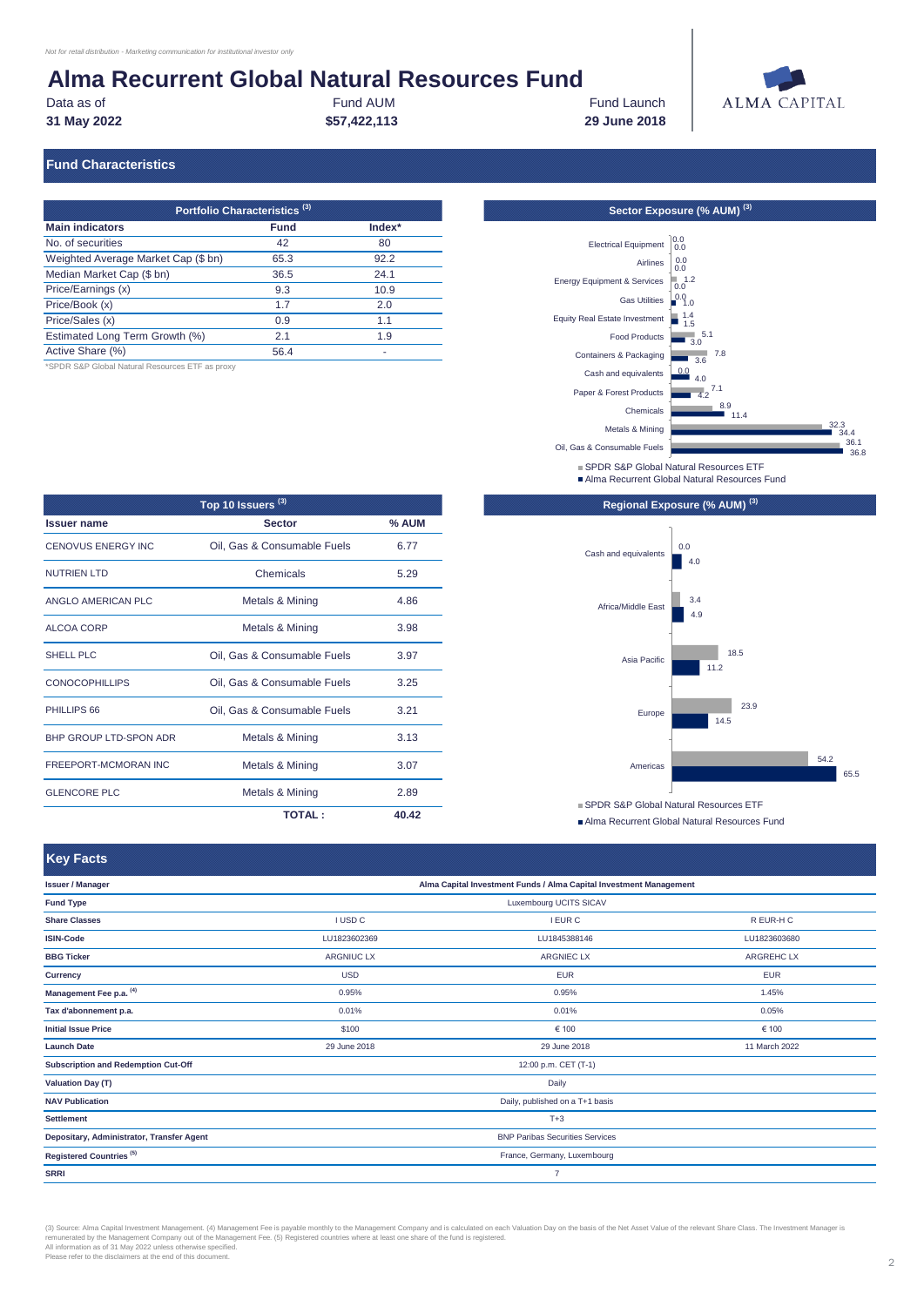Data as of **Fund AUM** Fund AUM Fund Launch **31 May 2022 \$57,422,113 29 June 2018**



#### **Fund Characteristics**

| Portfolio Characteristics <sup>(3)</sup> |             |        |  |  |
|------------------------------------------|-------------|--------|--|--|
| <b>Main indicators</b>                   | <b>Fund</b> | Index* |  |  |
| No. of securities                        | 42          | 80     |  |  |
| Weighted Average Market Cap (\$ bn)      | 65.3        | 92.2   |  |  |
| Median Market Cap (\$ bn)                | 36.5        | 24.1   |  |  |
| Price/Earnings (x)                       | 9.3         | 10.9   |  |  |
| Price/Book (x)                           | 1.7         | 2.0    |  |  |
| Price/Sales (x)                          | 0.9         | 1.1    |  |  |
| Estimated Long Term Growth (%)           | 2.1         | 1.9    |  |  |
| Active Share (%)                         | 56.4        |        |  |  |

\*SPDR S&P Global Natural Resources ETF as proxy

| Top 10 Issuers <sup>(3)</sup> |                             |         |  |  |
|-------------------------------|-----------------------------|---------|--|--|
| <b>Issuer name</b>            | <b>Sector</b>               | $%$ AUM |  |  |
| <b>CENOVUS ENERGY INC</b>     | Oil, Gas & Consumable Fuels | 6.77    |  |  |
| <b>NUTRIEN LTD</b>            | Chemicals                   | 5.29    |  |  |
| ANGLO AMERICAN PLC            | Metals & Mining             | 4.86    |  |  |
| ALCOA CORP                    | Metals & Mining             | 3.98    |  |  |
| <b>SHELL PLC</b>              | Oil, Gas & Consumable Fuels | 3.97    |  |  |
| <b>CONOCOPHILLIPS</b>         | Oil, Gas & Consumable Fuels | 3.25    |  |  |
| PHILLIPS 66                   | Oil, Gas & Consumable Fuels | 3.21    |  |  |
| <b>BHP GROUP LTD-SPON ADR</b> | Metals & Mining             | 3.13    |  |  |
| FREEPORT-MCMORAN INC          | Metals & Mining             | 3.07    |  |  |
| <b>GLENCORE PLC</b>           | Metals & Mining             | 2.89    |  |  |
|                               | <b>TOTAL :</b>              | 40.42   |  |  |



- SPDR S&P Global Natural Resources ETF
- ■Alma Recurrent Global Natural Resources Fund



Alma Recurrent Global Natural Resources Fund

| <b>Key Facts</b>                          |                                                                    |                        |                  |  |
|-------------------------------------------|--------------------------------------------------------------------|------------------------|------------------|--|
| <b>Issuer / Manager</b>                   | Alma Capital Investment Funds / Alma Capital Investment Management |                        |                  |  |
| <b>Fund Type</b>                          |                                                                    | Luxembourg UCITS SICAV |                  |  |
| <b>Share Classes</b>                      | <b>I USD C</b>                                                     | <b>I EUR C</b>         | R EUR-H C        |  |
| <b>ISIN-Code</b>                          | LU1823602369                                                       | LU1845388146           | LU1823603680     |  |
| <b>BBG Ticker</b>                         | <b>ARGNIUC LX</b>                                                  | <b>ARGNIEC LX</b>      | <b>ARGREHCLX</b> |  |
| <b>Currency</b>                           | <b>USD</b>                                                         | <b>EUR</b>             | <b>EUR</b>       |  |
| Management Fee p.a. (4)                   | 0.95%                                                              | 0.95%                  | 1.45%            |  |
| Tax d'abonnement p.a.                     | 0.01%                                                              | 0.01%                  | 0.05%            |  |
| <b>Initial Issue Price</b>                | \$100                                                              | € 100                  | € 100            |  |
| <b>Launch Date</b>                        | 29 June 2018                                                       | 29 June 2018           | 11 March 2022    |  |
| Subscription and Redemption Cut-Off       |                                                                    | 12:00 p.m. CET (T-1)   |                  |  |
| <b>Valuation Day (T)</b>                  | Daily                                                              |                        |                  |  |
| <b>NAV Publication</b>                    | Daily, published on a T+1 basis                                    |                        |                  |  |
| <b>Settlement</b>                         | $T+3$                                                              |                        |                  |  |
| Depositary, Administrator, Transfer Agent | <b>BNP Paribas Securities Services</b>                             |                        |                  |  |
| Registered Countries <sup>(5)</sup>       | France, Germany, Luxembourg                                        |                        |                  |  |
| <b>SRRI</b>                               | $\overline{7}$                                                     |                        |                  |  |

(3) Source: Alma Capital Investment Management. (4) Management Fee is payable monthly to the Management Company and is calculated on each Valuation Day on the basis of the Net Asset Value of the relevant Share Class. The I remunerated by the Management Company out of the Management Fee. (5) Registered countries where at least one share of the fund is registered.<br>All information as of 31 May 2022 unless otherwise specified.<br>Please refer to th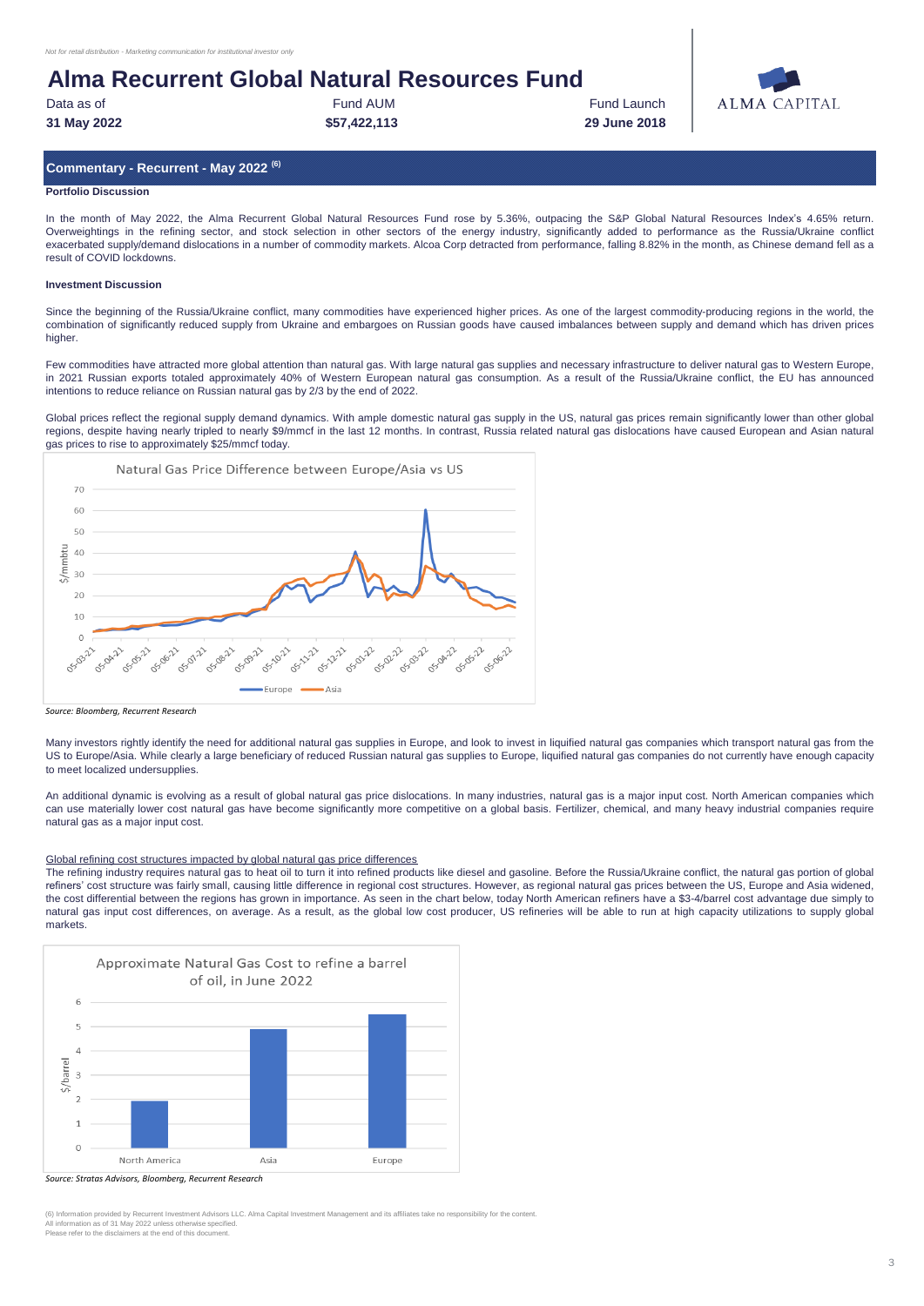| Data as of  | <b>Fund AUM</b> |
|-------------|-----------------|
| 31 May 2022 | \$57,422,11     |

**31 May 2022 \$57,422,113 29 June 2018 Fund Launch** 



### **Commentary - Recurrent - May 2022 (6)**

#### **Portfolio Discussion**

In the month of May 2022, the Alma Recurrent Global Natural Resources Fund rose by 5.36%, outpacing the S&P Global Natural Resources Index's 4.65% return. Overweightings in the refining sector, and stock selection in other sectors of the energy industry, significantly added to performance as the Russia/Ukraine conflict exacerbated supply/demand dislocations in a number of commodity markets. Alcoa Corp detracted from performance, falling 8.82% in the month, as Chinese demand fell as a result of COVID lockdowns.

#### **Investment Discussion**

Since the beginning of the Russia/Ukraine conflict, many commodities have experienced higher prices. As one of the largest commodity-producing regions in the world, the combination of significantly reduced supply from Ukraine and embargoes on Russian goods have caused imbalances between supply and demand which has driven prices higher.

Few commodities have attracted more global attention than natural gas. With large natural gas supplies and necessary infrastructure to deliver natural gas to Western Europe, in 2021 Russian exports totaled approximately 40% of Western European natural gas consumption. As a result of the Russia/Ukraine conflict, the EU has announced intentions to reduce reliance on Russian natural gas by 2/3 by the end of 2022.

Global prices reflect the regional supply demand dynamics. With ample domestic natural gas supply in the US, natural gas prices remain significantly lower than other global regions, despite having nearly tripled to nearly \$9/mmcf in the last 12 months. In contrast, Russia related natural gas dislocations have caused European and Asian natural gas prices to rise to approximately \$25/mmcf today.



*Source: Bloomberg, Recurrent Research*

Many investors rightly identify the need for additional natural gas supplies in Europe, and look to invest in liquified natural gas companies which transport natural gas from the US to Europe/Asia. While clearly a large beneficiary of reduced Russian natural gas supplies to Europe, liquified natural gas companies do not currently have enough capacity to meet localized undersupplies.

An additional dynamic is evolving as a result of global natural gas price dislocations. In many industries, natural gas is a major input cost. North American companies which can use materially lower cost natural gas have become significantly more competitive on a global basis. Fertilizer, chemical, and many heavy industrial companies require natural gas as a major input cost.

### Global refining cost structures impacted by global natural gas price differences

The refining industry requires natural gas to heat oil to turn it into refined products like diesel and gasoline. Before the Russia/Ukraine conflict, the natural gas portion of global refiners' cost structure was fairly small, causing little difference in regional cost structures. However, as regional natural gas prices between the US, Europe and Asia widened, the cost differential between the regions has grown in importance. As seen in the chart below, today North American refiners have a \$3-4/barrel cost advantage due simply to natural gas input cost differences, on average. As a result, as the global low cost producer, US refineries will be able to run at high capacity utilizations to supply global markets.



*Source: Stratas Advisors, Bloomberg, Recurrent Research*

.<br>Trent Investment Advisors LLC. Alma Capital Investment Management and its affiliates take no responsibility for the content All information as of 31 May 2022 unless otherwise specified. Please refer to the disclaimers at the end of this document.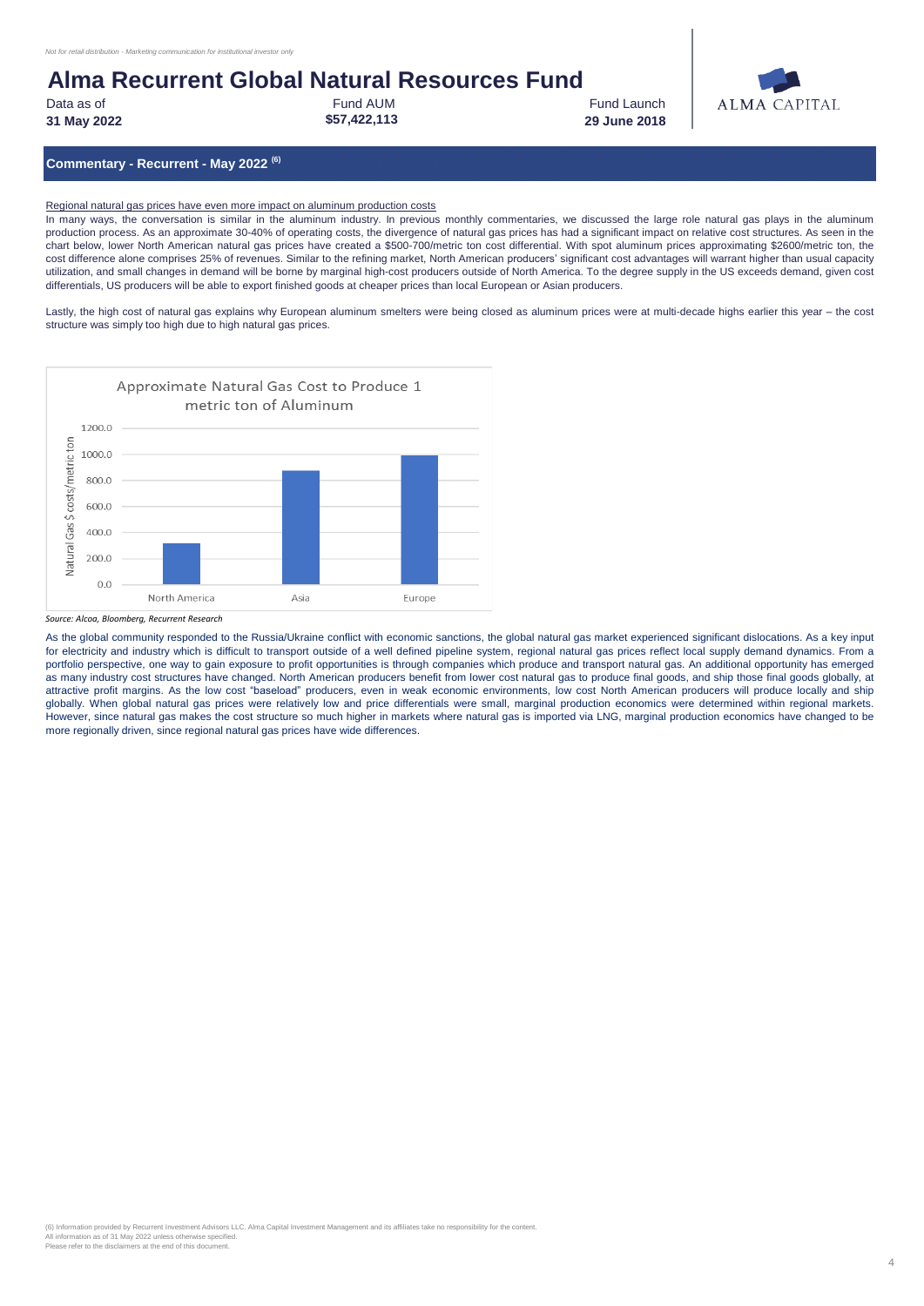Data as of **Fund AUM** Fund AUM Fund Launch **31 May 2022 \$57,422,113 29 June 2018**



**Commentary - Recurrent - May 2022 (6)**

Regional natural gas prices have even more impact on aluminum production costs

In many ways, the conversation is similar in the aluminum industry. In previous monthly commentaries, we discussed the large role natural gas plays in the aluminum production process. As an approximate 30-40% of operating costs, the divergence of natural gas prices has had a significant impact on relative cost structures. As seen in the chart below, lower North American natural gas prices have created a \$500-700/metric ton cost differential. With spot aluminum prices approximating \$2600/metric ton, the cost difference alone comprises 25% of revenues. Similar to the refining market, North American producers' significant cost advantages will warrant higher than usual capacity utilization, and small changes in demand will be borne by marginal high-cost producers outside of North America. To the degree supply in the US exceeds demand, given cost differentials, US producers will be able to export finished goods at cheaper prices than local European or Asian producers.

Lastly, the high cost of natural gas explains why European aluminum smelters were being closed as aluminum prices were at multi-decade highs earlier this year - the cost structure was simply too high due to high natural gas prices.



*Source: Alcoa, Bloomberg, Recurrent Research*

As the global community responded to the Russia/Ukraine conflict with economic sanctions, the global natural gas market experienced significant dislocations. As a key input for electricity and industry which is difficult to transport outside of a well defined pipeline system, regional natural gas prices reflect local supply demand dynamics. From a portfolio perspective, one way to gain exposure to profit opportunities is through companies which produce and transport natural gas. An additional opportunity has emerged as many industry cost structures have changed. North American producers benefit from lower cost natural gas to produce final goods, and ship those final goods globally, at attractive profit margins. As the low cost "baseload" producers, even in weak economic environments, low cost North American producers will produce locally and ship globally. When global natural gas prices were relatively low and price differentials were small, marginal production economics were determined within regional markets. However, since natural gas makes the cost structure so much higher in markets where natural gas is imported via LNG, marginal production economics have changed to be more regionally driven, since regional natural gas prices have wide differences.